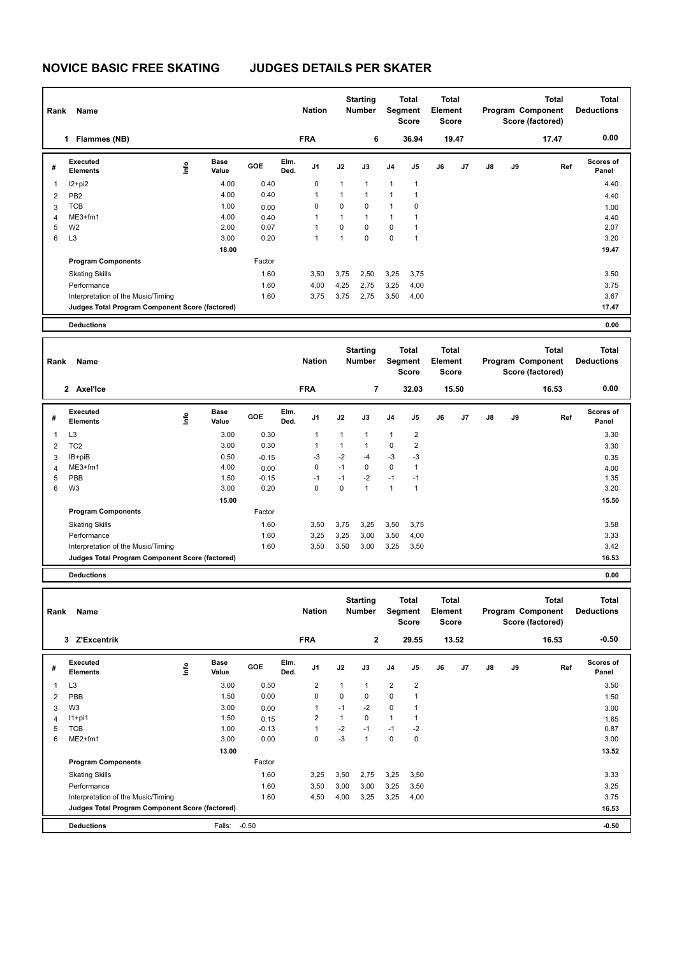## **NOVICE BASIC FREE SKATING JUDGES DETAILS PER SKATER**

| Rank           | Name                                            |      |                      |         |              | <b>Nation</b> |              | <b>Starting</b><br><b>Number</b> |                | <b>Total</b><br>Segment<br><b>Score</b> | <b>Total</b><br>Element<br><b>Score</b> |       |             |    | <b>Total</b><br>Program Component<br>Score (factored) | <b>Total</b><br><b>Deductions</b> |
|----------------|-------------------------------------------------|------|----------------------|---------|--------------|---------------|--------------|----------------------------------|----------------|-----------------------------------------|-----------------------------------------|-------|-------------|----|-------------------------------------------------------|-----------------------------------|
|                | 1 Flammes (NB)                                  |      |                      |         |              | <b>FRA</b>    |              | 6                                |                | 36.94                                   |                                         | 19.47 |             |    | 17.47                                                 | 0.00                              |
| #              | Executed<br><b>Elements</b>                     | ۴ů   | <b>Base</b><br>Value | GOE     | Elm.<br>Ded. | J1            | J2           | J3                               | J <sub>4</sub> | J5                                      | J6                                      | J7    | J8          | J9 | Ref                                                   | Scores of<br>Panel                |
| 1              | $12 + pi2$                                      |      | 4.00                 | 0.40    |              | $\mathbf 0$   | $\mathbf{1}$ | 1                                | $\mathbf{1}$   | $\mathbf{1}$                            |                                         |       |             |    |                                                       | 4.40                              |
| 2              | PB <sub>2</sub>                                 |      | 4.00                 | 0.40    |              | $\mathbf{1}$  | $\mathbf{1}$ | $\mathbf{1}$                     | $\mathbf{1}$   | $\mathbf{1}$                            |                                         |       |             |    |                                                       | 4.40                              |
| 3              | <b>TCB</b>                                      |      | 1.00                 | 0.00    |              | $\Omega$      | $\Omega$     | $\Omega$                         | $\mathbf{1}$   | $\mathbf 0$                             |                                         |       |             |    |                                                       | 1.00                              |
| 4              | ME3+fm1                                         |      | 4.00                 | 0.40    |              | 1             | 1            | $\mathbf{1}$                     | $\mathbf{1}$   | $\mathbf{1}$                            |                                         |       |             |    |                                                       | 4.40                              |
| 5              | W <sub>2</sub>                                  |      | 2.00                 | 0.07    |              | $\mathbf{1}$  | $\mathbf 0$  | $\Omega$                         | 0              | $\mathbf{1}$                            |                                         |       |             |    |                                                       | 2.07                              |
| 6              | L <sub>3</sub>                                  |      | 3.00                 | 0.20    |              | $\mathbf{1}$  | $\mathbf{1}$ | $\Omega$                         | $\mathbf 0$    | $\mathbf{1}$                            |                                         |       |             |    |                                                       | 3.20                              |
|                |                                                 |      | 18.00                |         |              |               |              |                                  |                |                                         |                                         |       |             |    |                                                       | 19.47                             |
|                | <b>Program Components</b>                       |      |                      | Factor  |              |               |              |                                  |                |                                         |                                         |       |             |    |                                                       |                                   |
|                | <b>Skating Skills</b>                           |      |                      | 1.60    |              | 3,50          | 3,75         | 2,50                             | 3,25           | 3,75                                    |                                         |       |             |    |                                                       | 3.50                              |
|                | Performance                                     |      |                      | 1.60    |              | 4,00          | 4,25         | 2,75                             | 3,25           | 4,00                                    |                                         |       |             |    |                                                       | 3.75                              |
|                | Interpretation of the Music/Timing              |      |                      | 1.60    |              | 3,75          | 3,75         | 2,75                             | 3,50           | 4,00                                    |                                         |       |             |    |                                                       | 3.67                              |
|                | Judges Total Program Component Score (factored) |      |                      |         |              |               |              |                                  |                |                                         |                                         |       |             |    |                                                       | 17.47                             |
|                | <b>Deductions</b>                               |      |                      |         |              |               |              |                                  |                |                                         |                                         |       |             |    |                                                       | 0.00                              |
|                |                                                 |      |                      |         |              |               |              |                                  |                |                                         |                                         |       |             |    |                                                       |                                   |
| Rank           | Name                                            |      |                      |         |              | <b>Nation</b> |              | <b>Starting</b><br><b>Number</b> |                | <b>Total</b><br>Segment<br><b>Score</b> | <b>Total</b><br>Element<br><b>Score</b> |       |             |    | <b>Total</b><br>Program Component<br>Score (factored) | <b>Total</b><br><b>Deductions</b> |
|                | 2 Axel'Ice                                      |      |                      |         |              | <b>FRA</b>    |              | $\overline{7}$                   |                | 32.03                                   |                                         | 15.50 |             |    | 16.53                                                 | 0.00                              |
| #              | Executed<br><b>Elements</b>                     | ١nfo | <b>Base</b><br>Value | GOE     | Elm.<br>Ded. | J1            | J2           | J3                               | J <sub>4</sub> | J5                                      | J6                                      | J7    | J8          | J9 | Ref                                                   | Scores of<br>Panel                |
| $\mathbf{1}$   | L <sub>3</sub>                                  |      | 3.00                 | 0.30    |              | 1             | $\mathbf{1}$ | $\mathbf{1}$                     | $\mathbf{1}$   | $\overline{2}$                          |                                         |       |             |    |                                                       | 3.30                              |
| $\overline{2}$ | TC <sub>2</sub>                                 |      | 3.00                 | 0.30    |              | $\mathbf{1}$  | $\mathbf{1}$ | $\mathbf{1}$                     | $\mathbf 0$    | $\mathbf 2$                             |                                         |       |             |    |                                                       | 3.30                              |
| 3              | IB+piB                                          |      | 0.50                 | $-0.15$ |              | $-3$          | $-2$         | $-4$                             | $-3$           | $-3$                                    |                                         |       |             |    |                                                       | 0.35                              |
| $\overline{4}$ | ME3+fm1                                         |      | 4.00                 | 0.00    |              | $\mathbf 0$   | $-1$         | $\mathbf 0$                      | $\mathsf 0$    | $\mathbf{1}$                            |                                         |       |             |    |                                                       | 4.00                              |
| 5              | PBB                                             |      | 1.50                 | $-0.15$ |              | $-1$          | $-1$         | $-2$                             | $-1$           | $-1$                                    |                                         |       |             |    |                                                       | 1.35                              |
| 6              | W <sub>3</sub>                                  |      | 3.00                 | 0.20    |              | $\Omega$      | $\mathbf 0$  | $\mathbf{1}$                     | $\mathbf{1}$   | $\mathbf{1}$                            |                                         |       |             |    |                                                       | 3.20                              |
|                |                                                 |      | 15.00                |         |              |               |              |                                  |                |                                         |                                         |       |             |    |                                                       | 15.50                             |
|                | <b>Program Components</b>                       |      |                      | Factor  |              |               |              |                                  |                |                                         |                                         |       |             |    |                                                       |                                   |
|                | <b>Skating Skills</b>                           |      |                      | 1.60    |              | 3,50          | 3,75         | 3,25                             | 3,50           | 3,75                                    |                                         |       |             |    |                                                       | 3.58                              |
|                | Performance                                     |      |                      | 1.60    |              | 3,25          | 3,25         | 3,00                             | 3,50           | 4,00                                    |                                         |       |             |    |                                                       | 3.33                              |
|                | Interpretation of the Music/Timing              |      |                      | 1.60    |              | 3,50          | 3,50         | 3,00                             | 3,25           | 3,50                                    |                                         |       |             |    |                                                       | 3.42                              |
|                | Judges Total Program Component Score (factored) |      |                      |         |              |               |              |                                  |                |                                         |                                         |       |             |    |                                                       | 16.53                             |
|                | <b>Deductions</b>                               |      |                      |         |              |               |              |                                  |                |                                         |                                         |       |             |    |                                                       | 0.00                              |
|                |                                                 |      |                      |         |              |               |              |                                  |                |                                         |                                         |       |             |    |                                                       |                                   |
|                |                                                 |      |                      |         |              |               | $\mathbf{A}$ | <b>Starting</b>                  | $\sim$         | Total                                   | <b>Total</b><br>m.                      |       | <b>D.J.</b> |    | <b>Total</b>                                          | <b>Total</b>                      |

| Rank | Name                                            |                            |            |              | <b>Nation</b>           |      | <b>Starting</b><br><b>Number</b> | Segment        | Total<br><b>Score</b> | Total<br>Element<br><b>Score</b> |                |               |    | Total<br>Program Component<br>Score (factored) | Total<br><b>Deductions</b> |
|------|-------------------------------------------------|----------------------------|------------|--------------|-------------------------|------|----------------------------------|----------------|-----------------------|----------------------------------|----------------|---------------|----|------------------------------------------------|----------------------------|
|      | 3 Z'Excentrik                                   |                            |            |              | <b>FRA</b>              |      | $\mathbf{2}$                     |                | 29.55                 |                                  | 13.52          |               |    | 16.53                                          | $-0.50$                    |
| #    | <b>Executed</b><br><b>Elements</b>              | <b>Base</b><br>١n<br>Value | <b>GOE</b> | Elm.<br>Ded. | J <sub>1</sub>          | J2   | J3                               | J <sub>4</sub> | J <sub>5</sub>        | J6                               | J <sub>7</sub> | $\mathsf{J}8$ | J9 | Ref                                            | Scores of<br>Panel         |
| 1    | L <sub>3</sub>                                  | 3.00                       | 0.50       |              | $\overline{\mathbf{c}}$ |      | 1                                | $\overline{2}$ | $\overline{2}$        |                                  |                |               |    |                                                | 3.50                       |
| 2    | PBB                                             | 1.50                       | 0.00       |              | $\mathbf 0$             | 0    | 0                                | $\mathbf 0$    |                       |                                  |                |               |    |                                                | 1.50                       |
| 3    | W <sub>3</sub>                                  | 3.00                       | 0.00       |              | $\mathbf{1}$            | $-1$ | $-2$                             | $\Omega$       |                       |                                  |                |               |    |                                                | 3.00                       |
| 4    | $11+pi1$                                        | 1.50                       | 0.15       |              | 2                       |      | 0                                | $\mathbf{1}$   |                       |                                  |                |               |    |                                                | 1.65                       |
| 5    | TCB                                             | 1.00                       | $-0.13$    |              | $\mathbf{1}$            | $-2$ | $-1$                             | $-1$           | $-2$                  |                                  |                |               |    |                                                | 0.87                       |
| 6    | ME2+fm1                                         | 3.00                       | 0.00       |              | $\mathbf 0$             | $-3$ |                                  | $\mathbf 0$    | 0                     |                                  |                |               |    |                                                | 3.00                       |
|      |                                                 | 13.00                      |            |              |                         |      |                                  |                |                       |                                  |                |               |    |                                                | 13.52                      |
|      | <b>Program Components</b>                       |                            | Factor     |              |                         |      |                                  |                |                       |                                  |                |               |    |                                                |                            |
|      | <b>Skating Skills</b>                           |                            | 1.60       |              | 3,25                    | 3,50 | 2,75                             | 3,25           | 3,50                  |                                  |                |               |    |                                                | 3.33                       |
|      | Performance                                     |                            | 1.60       |              | 3,50                    | 3,00 | 3,00                             | 3,25           | 3,50                  |                                  |                |               |    |                                                | 3.25                       |
|      | Interpretation of the Music/Timing              |                            | 1.60       |              | 4,50                    | 4,00 | 3,25                             | 3,25           | 4,00                  |                                  |                |               |    |                                                | 3.75                       |
|      | Judges Total Program Component Score (factored) |                            |            |              |                         |      |                                  |                |                       |                                  |                |               |    |                                                | 16.53                      |
|      | <b>Deductions</b>                               | Falls:                     | $-0.50$    |              |                         |      |                                  |                |                       |                                  |                |               |    |                                                | $-0.50$                    |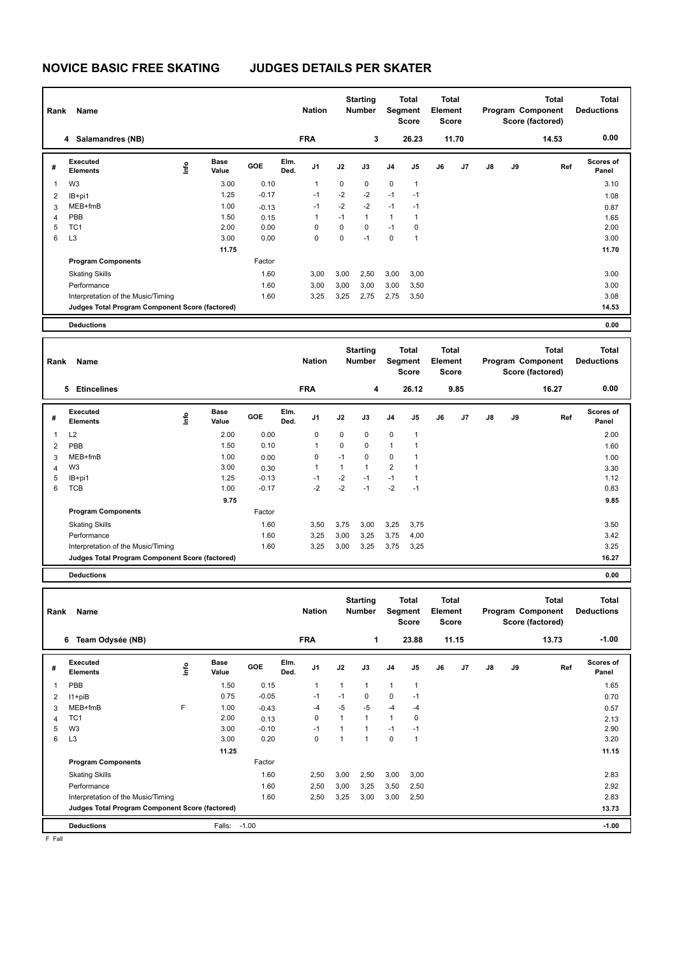## **NOVICE BASIC FREE SKATING JUDGES DETAILS PER SKATER**

| Rank                    | Name                                            |                          |                      |              |              | <b>Nation</b> |              | <b>Starting</b><br><b>Number</b> |                | Total<br>Segment<br>Score | <b>Total</b><br>Element<br><b>Score</b> |       |    |    | <b>Total</b><br>Program Component<br>Score (factored) | <b>Total</b><br><b>Deductions</b> |
|-------------------------|-------------------------------------------------|--------------------------|----------------------|--------------|--------------|---------------|--------------|----------------------------------|----------------|---------------------------|-----------------------------------------|-------|----|----|-------------------------------------------------------|-----------------------------------|
|                         | 4 Salamandres (NB)                              |                          |                      |              |              | <b>FRA</b>    |              | 3                                |                | 26.23                     |                                         | 11.70 |    |    | 14.53                                                 | 0.00                              |
| #                       | Executed<br><b>Elements</b>                     | lnfo                     | Base<br>Value        | GOE          | Elm.<br>Ded. | J1            | J2           | J3                               | J <sub>4</sub> | J5                        | J6                                      | J7    | J8 | J9 | Ref                                                   | Scores of<br>Panel                |
| $\mathbf{1}$            | W <sub>3</sub>                                  |                          | 3.00                 | 0.10         |              | 1             | 0            | 0                                | 0              | $\mathbf{1}$              |                                         |       |    |    |                                                       | 3.10                              |
| $\overline{\mathbf{c}}$ | IB+pi1                                          |                          | 1.25                 | $-0.17$      |              | $-1$          | $-2$         | $-2$                             | $-1$           | $-1$                      |                                         |       |    |    |                                                       | 1.08                              |
| 3                       | MEB+fmB                                         |                          | 1.00                 | $-0.13$      |              | $-1$          | $-2$         | $-2$                             | $-1$           | -1                        |                                         |       |    |    |                                                       | 0.87                              |
| $\overline{4}$          | PBB                                             |                          | 1.50                 | 0.15         |              | $\mathbf{1}$  | $-1$         | $\mathbf{1}$                     | $\mathbf{1}$   | $\mathbf{1}$              |                                         |       |    |    |                                                       | 1.65                              |
| 5                       | TC <sub>1</sub>                                 |                          | 2.00                 | 0.00         |              | $\mathbf 0$   | $\mathbf 0$  | 0                                | $-1$           | $\mathbf 0$               |                                         |       |    |    |                                                       | 2.00                              |
| 6                       | L <sub>3</sub>                                  |                          | 3.00                 | 0.00         |              | $\Omega$      | $\mathbf 0$  | $-1$                             | $\pmb{0}$      | 1                         |                                         |       |    |    |                                                       | 3.00                              |
|                         |                                                 |                          | 11.75                |              |              |               |              |                                  |                |                           |                                         |       |    |    |                                                       | 11.70                             |
|                         | <b>Program Components</b>                       |                          |                      | Factor       |              |               |              |                                  |                |                           |                                         |       |    |    |                                                       |                                   |
|                         | <b>Skating Skills</b>                           |                          |                      | 1.60         |              | 3,00          | 3,00         | 2,50                             | 3,00           | 3,00                      |                                         |       |    |    |                                                       | 3.00                              |
|                         | Performance                                     |                          |                      | 1.60         |              | 3,00          | 3,00         | 3,00                             | 3,00           | 3,50                      |                                         |       |    |    |                                                       | 3.00                              |
|                         | Interpretation of the Music/Timing              |                          |                      | 1.60         |              | 3,25          | 3,25         | 2,75                             | 2,75           | 3,50                      |                                         |       |    |    |                                                       | 3.08                              |
|                         | Judges Total Program Component Score (factored) |                          |                      |              |              |               |              |                                  |                |                           |                                         |       |    |    |                                                       | 14.53                             |
|                         |                                                 |                          |                      |              |              |               |              |                                  |                |                           |                                         |       |    |    |                                                       |                                   |
|                         | <b>Deductions</b>                               |                          |                      |              |              |               |              |                                  |                |                           |                                         |       |    |    |                                                       | 0.00                              |
|                         |                                                 |                          |                      |              |              |               |              |                                  |                |                           |                                         |       |    |    |                                                       |                                   |
|                         |                                                 |                          |                      |              |              |               |              | <b>Starting</b>                  |                | <b>Total</b>              | <b>Total</b>                            |       |    |    | <b>Total</b>                                          | <b>Total</b>                      |
| Rank                    | Name                                            |                          |                      |              |              | <b>Nation</b> |              | <b>Number</b>                    |                | Segment<br><b>Score</b>   | Element<br><b>Score</b>                 |       |    |    | Program Component                                     | <b>Deductions</b>                 |
|                         |                                                 |                          |                      |              |              |               |              |                                  |                |                           |                                         |       |    |    | Score (factored)                                      |                                   |
|                         |                                                 |                          |                      |              |              |               |              |                                  |                |                           |                                         |       |    |    |                                                       |                                   |
|                         | 5 Etincelines                                   |                          |                      |              |              | <b>FRA</b>    |              | 4                                |                | 26.12                     |                                         | 9.85  |    |    | 16.27                                                 | 0.00                              |
|                         |                                                 |                          |                      |              |              |               |              |                                  |                |                           |                                         |       |    |    |                                                       |                                   |
| #                       | Executed<br><b>Elements</b>                     | $\mathop{\mathsf{Info}}$ | <b>Base</b><br>Value | GOE          | Elm.<br>Ded. | J1            | J2           | J3                               | J4             | J5                        | J6                                      | J7    | J8 | J9 | Ref                                                   | Scores of<br>Panel                |
| $\mathbf{1}$            | L2                                              |                          | 2.00                 | 0.00         |              | $\mathbf 0$   | $\mathsf 0$  | 0                                | $\pmb{0}$      | $\mathbf{1}$              |                                         |       |    |    |                                                       | 2.00                              |
|                         |                                                 |                          | 1.50                 | 0.10         |              | 1             | 0            | 0                                | $\mathbf{1}$   | 1                         |                                         |       |    |    |                                                       |                                   |
| $\overline{2}$          | PBB<br>MEB+fmB                                  |                          | 1.00                 |              |              | $\mathbf 0$   | $-1$         | $\mathbf 0$                      | $\pmb{0}$      | $\mathbf{1}$              |                                         |       |    |    |                                                       | 1.60                              |
| 3                       | W <sub>3</sub>                                  |                          | 3.00                 | 0.00<br>0.30 |              | $\mathbf{1}$  | $\mathbf{1}$ | 1                                | $\overline{2}$ | $\mathbf{1}$              |                                         |       |    |    |                                                       | 1.00                              |
| 4<br>5                  | IB+pi1                                          |                          | 1.25                 | $-0.13$      |              | $-1$          | $-2$         | $-1$                             | $-1$           | $\mathbf{1}$              |                                         |       |    |    |                                                       | 3.30<br>1.12                      |
| 6                       | <b>TCB</b>                                      |                          | 1.00                 | $-0.17$      |              | $-2$          | $-2$         | $-1$                             | $-2$           | $-1$                      |                                         |       |    |    |                                                       | 0.83                              |
|                         |                                                 |                          | 9.75                 |              |              |               |              |                                  |                |                           |                                         |       |    |    |                                                       | 9.85                              |
|                         | <b>Program Components</b>                       |                          |                      | Factor       |              |               |              |                                  |                |                           |                                         |       |    |    |                                                       |                                   |
|                         |                                                 |                          |                      |              |              |               |              |                                  |                |                           |                                         |       |    |    |                                                       |                                   |
|                         | <b>Skating Skills</b>                           |                          |                      | 1.60         |              | 3,50          | 3,75         | 3,00                             | 3,25           | 3,75                      |                                         |       |    |    |                                                       | 3.50                              |
|                         | Performance                                     |                          |                      | 1.60         |              | 3,25          | 3,00         | 3,25                             | 3,75           | 4,00                      |                                         |       |    |    |                                                       | 3.42                              |
|                         | Interpretation of the Music/Timing              |                          |                      | 1.60         |              | 3,25          | 3,00         | 3,25                             | 3,75           | 3,25                      |                                         |       |    |    |                                                       | 3.25                              |
|                         | Judges Total Program Component Score (factored) |                          |                      |              |              |               |              |                                  |                |                           |                                         |       |    |    |                                                       | 16.27                             |
|                         | <b>Deductions</b>                               |                          |                      |              |              |               |              |                                  |                |                           |                                         |       |    |    |                                                       | 0.00                              |
|                         |                                                 |                          |                      |              |              |               |              |                                  |                |                           |                                         |       |    |    |                                                       |                                   |
|                         |                                                 |                          |                      |              |              |               |              | <b>Starting</b>                  |                | <b>Total</b>              | <b>Total</b>                            |       |    |    | <b>Total</b>                                          | <b>Total</b>                      |
| Rank                    | Name                                            |                          |                      |              |              | <b>Nation</b> |              | <b>Number</b>                    |                | Segment                   | Element                                 |       |    |    | Program Component                                     | <b>Deductions</b>                 |
|                         |                                                 |                          |                      |              |              |               |              |                                  |                | <b>Score</b>              | <b>Score</b>                            |       |    |    | Score (factored)                                      |                                   |
|                         | 6 Team Odysée (NB)                              |                          |                      |              |              | <b>FRA</b>    |              | 1                                |                | 23.88                     |                                         | 11.15 |    |    | 13.73                                                 | $-1.00$                           |

|   | O<br>ream Odysee (NB)                           |      |               |         |              | FRA            |      |      |                | 23.88          |    | 11.15 |               |    | 13.73 | -1.00              |
|---|-------------------------------------------------|------|---------------|---------|--------------|----------------|------|------|----------------|----------------|----|-------|---------------|----|-------|--------------------|
| # | <b>Executed</b><br><b>Elements</b>              | ١nf٥ | Base<br>Value | GOE     | Elm.<br>Ded. | J <sub>1</sub> | J2   | J3   | J <sub>4</sub> | J <sub>5</sub> | J6 | J7    | $\mathsf{J}8$ | J9 | Ref   | Scores of<br>Panel |
|   | PBB                                             |      | 1.50          | 0.15    |              |                |      |      |                | $\overline{1}$ |    |       |               |    |       | 1.65               |
| 2 | I1+piB                                          |      | 0.75          | $-0.05$ |              | $-1$           | $-1$ | 0    | 0              | $-1$           |    |       |               |    |       | 0.70               |
| 3 | MEB+fmB                                         | F    | 1.00          | $-0.43$ |              | $-4$           | $-5$ | $-5$ | $-4$           | $-4$           |    |       |               |    |       | 0.57               |
| 4 | TC <sub>1</sub>                                 |      | 2.00          | 0.13    |              | 0              | 1    |      | 1              | 0              |    |       |               |    |       | 2.13               |
| 5 | W <sub>3</sub>                                  |      | 3.00          | $-0.10$ |              | $-1$           |      |      | $-1$           | $-1$           |    |       |               |    |       | 2.90               |
| 6 | L <sub>3</sub>                                  |      | 3.00          | 0.20    |              | 0              |      |      | 0              | 1              |    |       |               |    |       | 3.20               |
|   |                                                 |      | 11.25         |         |              |                |      |      |                |                |    |       |               |    |       | 11.15              |
|   | <b>Program Components</b>                       |      |               | Factor  |              |                |      |      |                |                |    |       |               |    |       |                    |
|   | <b>Skating Skills</b>                           |      |               | 1.60    |              | 2,50           | 3,00 | 2,50 | 3,00           | 3,00           |    |       |               |    |       | 2.83               |
|   | Performance                                     |      |               | 1.60    |              | 2,50           | 3,00 | 3,25 | 3,50           | 2,50           |    |       |               |    |       | 2.92               |
|   | Interpretation of the Music/Timing              |      |               | 1.60    |              | 2,50           | 3,25 | 3,00 | 3,00           | 2,50           |    |       |               |    |       | 2.83               |
|   | Judges Total Program Component Score (factored) |      |               |         |              |                |      |      |                |                |    |       |               |    |       | 13.73              |
|   | <b>Deductions</b>                               |      | Falls:        | $-1.00$ |              |                |      |      |                |                |    |       |               |    |       | $-1.00$            |

F Fall